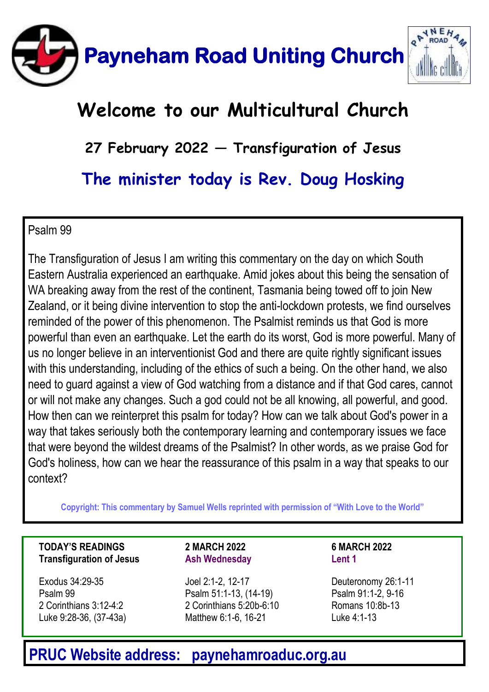

### **Welcome to our Multicultural Church**

**27 February 2022 — Transfiguration of Jesus**

**The minister today is Rev. Doug Hosking**

### Psalm 99

The Transfiguration of Jesus I am writing this commentary on the day on which South Eastern Australia experienced an earthquake. Amid jokes about this being the sensation of WA breaking away from the rest of the continent, Tasmania being towed off to join New Zealand, or it being divine intervention to stop the anti-lockdown protests, we find ourselves reminded of the power of this phenomenon. The Psalmist reminds us that God is more powerful than even an earthquake. Let the earth do its worst, God is more powerful. Many of us no longer believe in an interventionist God and there are quite rightly significant issues with this understanding, including of the ethics of such a being. On the other hand, we also need to guard against a view of God watching from a distance and if that God cares, cannot or will not make any changes. Such a god could not be all knowing, all powerful, and good. How then can we reinterpret this psalm for today? How can we talk about God's power in a way that takes seriously both the contemporary learning and contemporary issues we face that were beyond the wildest dreams of the Psalmist? In other words, as we praise God for God's holiness, how can we hear the reassurance of this psalm in a way that speaks to our context?

**Copyright: This commentary by Samuel Wells reprinted with permission of "With Love to the World"** 

#### **TODAY'S READINGS Transfiguration of Jesus**

Exodus 34:29-35 Psalm 99 2 Corinthians 3:12-4:2 Luke 9:28-36, (37-43a) **2 MARCH 2022 Ash Wednesday**

Joel 2:1-2, 12-17 Psalm 51:1-13, (14-19) 2 Corinthians 5:20b-6:10 Matthew 6:1-6, 16-21

**6 MARCH 2022 Lent 1**

Deuteronomy 26:1-11 Psalm 91:1-2, 9-16 Romans 10:8b-13 Luke 4:1-13

### **PRUC Website address: paynehamroaduc.org.au**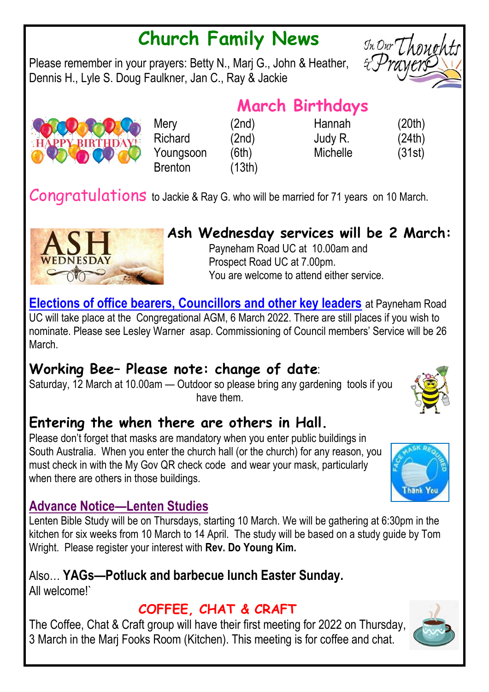## **Church Family News**

Please remember in your prayers: Betty N., Marj G., John & Heather, Dennis H., Lyle S. Doug Faulkner, Jan C., Ray & Jackie



Mery (2nd) Hannah (20th)

Richard (2nd) Judy R. (24th) Youngsoon (6th) Michelle (31st)

Congratulations to Jackie & Ray G. who will be married for 71 years on 10 March.

Brenton (13th)



### **Ash Wednesday services will be 2 March:**

Payneham Road UC at 10.00am and Prospect Road UC at 7.00pm. You are welcome to attend either service.

**Elections of office bearers, Councillors and other key leaders** at Payneham Road UC will take place at the Congregational AGM, 6 March 2022. There are still places if you wish to nominate. Please see Lesley Warner asap. Commissioning of Council members' Service will be 26 March.

### **Working Bee– Please note: change of date**:

Saturday, 12 March at 10.00am — Outdoor so please bring any gardening tools if you have them.

### **Entering the when there are others in Hall.**

Please don't forget that masks are mandatory when you enter public buildings in South Australia. When you enter the church hall (or the church) for any reason, you must check in with the My Gov QR check code and wear your mask, particularly when there are others in those buildings.

### **Advance Notice—Lenten Studies**

Lenten Bible Study will be on Thursdays, starting 10 March. We will be gathering at 6:30pm in the kitchen for six weeks from 10 March to 14 April. The study will be based on a study guide by Tom Wright. Please register your interest with **Rev. Do Young Kim.**

Also… **YAGs—Potluck and barbecue lunch Easter Sunday.** All welcome!`

### **COFFEE, CHAT & CRAFT**

The Coffee, Chat & Craft group will have their first meeting for 2022 on Thursday, 3 March in the Marj Fooks Room (Kitchen). This meeting is for coffee and chat.







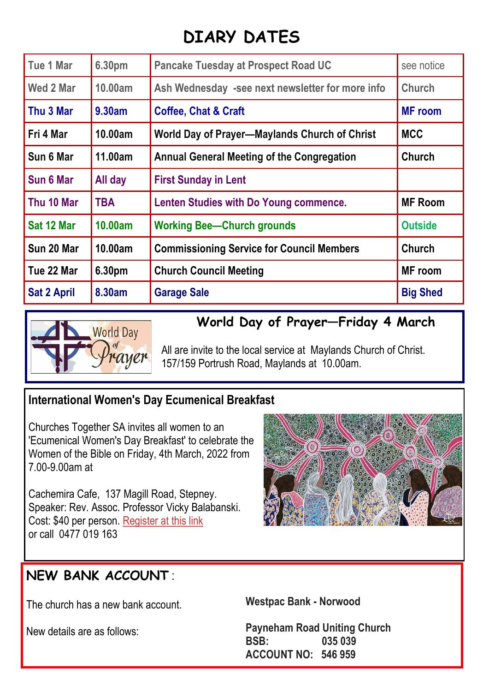### **DIARY DATES**

| Tue 1 Mar          | 6.30pm  | <b>Pancake Tuesday at Prospect Road UC</b>       | see notice      |
|--------------------|---------|--------------------------------------------------|-----------------|
| Wed 2 Mar          | 10.00am | Ash Wednesday -see next newsletter for more info | Church          |
| Thu 3 Mar          | 9.30am  | <b>Coffee, Chat &amp; Craft</b>                  | <b>MF</b> room  |
| Fri 4 Mar          | 10.00am | World Day of Prayer-Maylands Church of Christ    | <b>MCC</b>      |
| Sun 6 Mar          | 11.00am | Annual General Meeting of the Congregation       | Church          |
| Sun 6 Mar          | All day | <b>First Sunday in Lent</b>                      |                 |
| Thu 10 Mar         | TBA     | Lenten Studies with Do Young commence.           | <b>MF Room</b>  |
| Sat 12 Mar         | 10.00am | <b>Working Bee-Church grounds</b>                | <b>Outside</b>  |
| Sun 20 Mar         | 10.00am | <b>Commissioning Service for Council Members</b> | Church          |
| Tue 22 Mar         | 6.30pm  | <b>Church Council Meeting</b>                    | MF room         |
| <b>Sat 2 April</b> | 8.30am  | <b>Garage Sale</b>                               | <b>Big Shed</b> |



### **World Day of Prayer—Friday 4 March**

All are invite to the local service at Maylands Church of Christ. 157/159 Portrush Road, Maylands at 10.00am.

### **International Women's Day Ecumenical Breakfast**

Churches Together SA invites all women to an 'Ecumenical Women's Day Breakfast' to celebrate the Women of the Bible on Friday, 4th March, 2022 from 7.00-9.00am at

Cachemira Cafe, 137 Magill Road, Stepney. Speaker: Rev. Assoc. Professor Vicky Balabanski. Cost: \$40 per person. [Register at this link](https://protect-au.mimecast.com/s/oYveCP7y2qcOrovRtz0cZWx?domain=unitingchurchinsa.cmail20.com) or call [0477 019 163](https://www.google.com/search?q=admin%40churchestogethersa.org.au&rlz=1C1AVFC_enAU780AU780&oq=admin%40churchestogethersa.org.au&aqs=chrome..69i57j69i61j69i58j69i61.1454j0j4&sourceid=chrome&ie=UTF-8#) 



### **NEW BANK ACCOUNT** :

The church has a new bank account.

New details are as follows:

**Westpac Bank - Norwood**

**Payneham Road Uniting Church BSB: 035 039 ACCOUNT NO: 546 959**